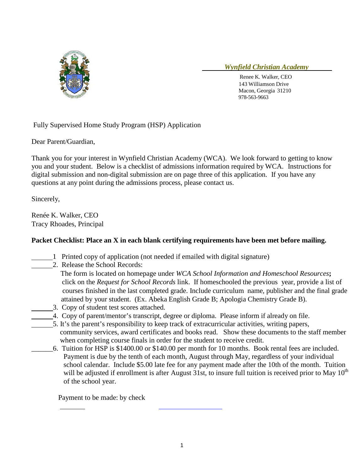

## *Wynfield Christian Academy*

 Renee K. Walker, CEO 143 Williamson Drive Macon, Georgia 31210 978-563-9663

## Fully Supervised Home Study Program (HSP) Application

Dear Parent/Guardian,

Thank you for your interest in Wynfield Christian Academy (WCA). We look forward to getting to know you and your student. Below is a checklist of admissions information required by WCA. Instructions for digital submission and non-digital submission are on page three of this application. If you have any questions at any point during the admissions process, please contact us.

Sincerely,

Renée K. Walker, CEO Tracy Rhoades, Principal

# **Packet Checklist: Place an X in each blank certifying requirements have been met before mailing.**

- 1 Printed copy of application (not needed if emailed with digital signature)
- 2. Release the School Records:

 The form is located on homepage under *WCA School Information and Homeschool Resources***;** click on the *Request for School Records* link. If homeschooled the previous year, provide a list of courses finished in the last completed grade. Include curriculum name, publisher and the final grade attained by your student. (Ex. Abeka English Grade B; Apologia Chemistry Grade B).

- 3. Copy of student test scores attached.
- 4. Copy of parent/mentor's transcript, degree or diploma. Please inform if already on file.
- 5. It's the parent's responsibility to keep track of extracurricular activities, writing papers, community services, award certificates and books read. Show these documents to the staff member when completing course finals in order for the student to receive credit.
	- \_\_\_\_\_\_6. Tuition for HSP is \$1400.00 or \$140.00 per month for 10 months. Book rental fees are included. Payment is due by the tenth of each month, August through May, regardless of your individual school calendar. Include \$5.00 late fee for any payment made after the 10th of the month. Tuition will be adjusted if enrollment is after August 31st, to insure full tuition is received prior to May  $10^{th}$ of the school year.

L

Payment to be made: by check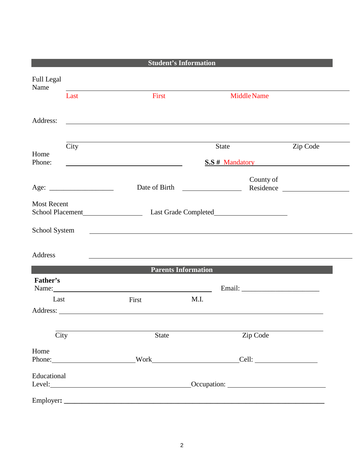|                           |      | <b>Student's Information</b>                                 |       |                    |           |  |  |
|---------------------------|------|--------------------------------------------------------------|-------|--------------------|-----------|--|--|
| <b>Full Legal</b><br>Name |      |                                                              |       |                    |           |  |  |
|                           | Last | First                                                        |       | <b>Middle Name</b> |           |  |  |
| Address:                  |      | <u> 1989 - Johann Stein, mars an de Britannich (b. 1989)</u> |       |                    |           |  |  |
|                           |      |                                                              |       |                    |           |  |  |
| Home                      | City |                                                              | State |                    | Zip Code  |  |  |
| Phone:                    |      | <b>S.S</b> # Mandatory                                       |       |                    |           |  |  |
|                           |      | Date of Birth                                                |       | County of          | Residence |  |  |
| <b>Most Recent</b>        |      | School Placement Last Grade Completed                        |       |                    |           |  |  |
| School System             |      |                                                              |       |                    |           |  |  |
| Address                   |      |                                                              |       |                    |           |  |  |
|                           |      | <b>Parents Information</b>                                   |       |                    |           |  |  |
| Father's                  |      | Name:                                                        |       |                    |           |  |  |
| Last                      |      | First                                                        | M.I.  |                    |           |  |  |
|                           |      | Address:                                                     |       |                    |           |  |  |
| $\overline{City}$         |      | State                                                        |       | Zip Code           |           |  |  |
| Home                      |      | Phone: Work Work                                             |       | $\text{Cell:}$     |           |  |  |
| Educational               |      |                                                              |       |                    |           |  |  |
|                           |      |                                                              |       |                    |           |  |  |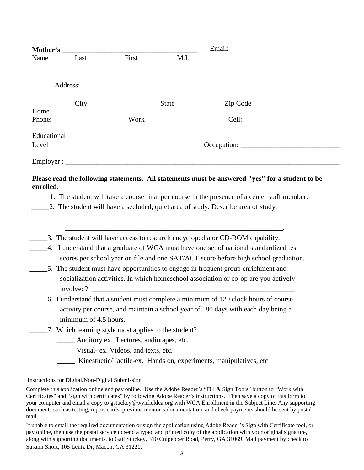|             | Mother's                                        |       |                                                      |                                                                                                                                                                                    |
|-------------|-------------------------------------------------|-------|------------------------------------------------------|------------------------------------------------------------------------------------------------------------------------------------------------------------------------------------|
| Name        | Last                                            | First | M.I.                                                 |                                                                                                                                                                                    |
|             |                                                 |       |                                                      |                                                                                                                                                                                    |
|             | City                                            |       | State                                                | Zip Code                                                                                                                                                                           |
| Home        |                                                 |       |                                                      | Phone: Work Work Cell:                                                                                                                                                             |
| Educational |                                                 |       |                                                      | Occupation:                                                                                                                                                                        |
|             |                                                 |       |                                                      |                                                                                                                                                                                    |
|             |                                                 |       |                                                      | 1. The student will take a course final per course in the presence of a center staff member.<br>_2. The student will have a secluded, quiet area of study. Describe area of study. |
|             |                                                 |       |                                                      | the contract of the contract of the contract of the contract of the contract of the contract of the contract of                                                                    |
| enrolled.   |                                                 |       |                                                      | _3. The student will have access to research encyclopedia or CD-ROM capability.                                                                                                    |
|             |                                                 |       |                                                      | 4. I understand that a graduate of WCA must have one set of national standardized test<br>scores per school year on file and one SAT/ACT score before high school graduation.      |
|             |                                                 |       |                                                      | _5. The student must have opportunities to engage in frequent group enrichment and                                                                                                 |
|             |                                                 |       |                                                      | socialization activities. In which homeschool association or co-op are you actively<br>involved?                                                                                   |
|             |                                                 |       |                                                      | 6. I understand that a student must complete a minimum of 120 clock hours of course                                                                                                |
|             |                                                 |       |                                                      | activity per course, and maintain a school year of 180 days with each day being a                                                                                                  |
|             | minimum of 4.5 hours.                           |       | 7. Which learning style most applies to the student? |                                                                                                                                                                                    |
|             | _______ Auditory ex. Lectures, audiotapes, etc. |       |                                                      |                                                                                                                                                                                    |
|             | Visual- ex. Videos, and texts, etc.             |       |                                                      | Kinesthetic/Tactile-ex. Hands on, experiments, manipulatives, etc.                                                                                                                 |

#### Instructions for Digital/Non-Digital Submission

Complete this application online and pay online. Use the Adobe Reader's "Fill & Sign Tools" button to "Work with Certificates" and "sign with certificates" by following Adobe Reader's instructions. Then save a copy of this form to your computer and email a copy to gstuckey@wynfieldca.org with WCA Enrollment in the Subject Line. Any supporting documents such as testing, report cards, previous mentor's documentation, and check payments should be sent by postal mail.

If unable to email the required documentation or sign the application using Adobe Reader's Sign with Certificate tool, or pay online, then use the postal service to send a typed and printed copy of the application with your original signature, along with supporting documents, to Gail Stuckey, 310 Culpepper Road, Perry, GA 31069. Mail payment by check to Susann Short, 105 Lentz Dr, Macon, GA 31220.